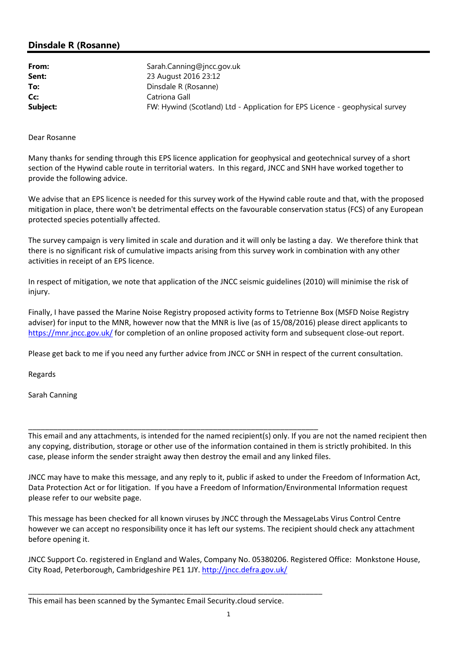## **Dinsdale R (Rosanne)**

| From:<br>Sent: | Sarah.Canning@jncc.gov.uk<br>23 August 2016 23:12                            |
|----------------|------------------------------------------------------------------------------|
| To:            | Dinsdale R (Rosanne)                                                         |
| Cc:            | Catriona Gall                                                                |
| Subject:       | FW: Hywind (Scotland) Ltd - Application for EPS Licence - geophysical survey |

Dear Rosanne

Many thanks for sending through this EPS licence application for geophysical and geotechnical survey of a short section of the Hywind cable route in territorial waters. In this regard, JNCC and SNH have worked together to provide the following advice.

We advise that an EPS licence is needed for this survey work of the Hywind cable route and that, with the proposed mitigation in place, there won't be detrimental effects on the favourable conservation status (FCS) of any European protected species potentially affected.

The survey campaign is very limited in scale and duration and it will only be lasting a day. We therefore think that there is no significant risk of cumulative impacts arising from this survey work in combination with any other activities in receipt of an EPS licence.

In respect of mitigation, we note that application of the JNCC seismic guidelines (2010) will minimise the risk of injury.

Finally, I have passed the Marine Noise Registry proposed activity forms to Tetrienne Box (MSFD Noise Registry adviser) for input to the MNR, however now that the MNR is live (as of 15/08/2016) please direct applicants to https://mnr.jncc.gov.uk/ for completion of an online proposed activity form and subsequent close-out report.

Please get back to me if you need any further advice from JNCC or SNH in respect of the current consultation.

Regards

Sarah Canning

This email and any attachments, is intended for the named recipient(s) only. If you are not the named recipient then any copying, distribution, storage or other use of the information contained in them is strictly prohibited. In this case, please inform the sender straight away then destroy the email and any linked files.

JNCC may have to make this message, and any reply to it, public if asked to under the Freedom of Information Act, Data Protection Act or for litigation. If you have a Freedom of Information/Environmental Information request please refer to our website page.

This message has been checked for all known viruses by JNCC through the MessageLabs Virus Control Centre however we can accept no responsibility once it has left our systems. The recipient should check any attachment before opening it.

JNCC Support Co. registered in England and Wales, Company No. 05380206. Registered Office: Monkstone House, City Road, Peterborough, Cambridgeshire PE1 1JY. http://jncc.defra.gov.uk/

\_\_\_\_\_\_\_\_\_\_\_\_\_\_\_\_\_\_\_\_\_\_\_\_\_\_\_\_\_\_\_\_\_\_\_\_\_\_\_\_\_\_\_\_\_\_\_\_\_\_\_\_\_\_\_\_\_\_\_\_\_\_\_\_\_\_\_\_\_\_

\_\_\_\_\_\_\_\_\_\_\_\_\_\_\_\_\_\_\_\_\_\_\_\_\_\_\_\_\_\_\_\_\_\_\_\_\_\_\_\_\_\_\_\_\_\_\_\_\_\_\_\_\_\_\_\_\_\_\_\_\_\_\_\_\_\_\_\_\_

This email has been scanned by the Symantec Email Security.cloud service.